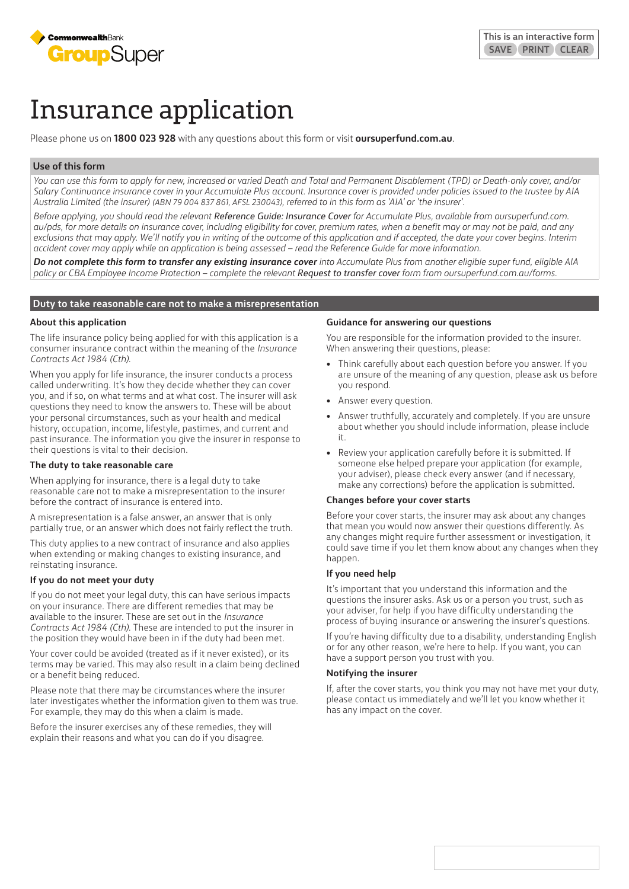

# Insurance application

Please phone us on **1800 023 928** with any questions about this form or visit **oursuperfund.com.au**.

# **Use of this form**

*You can use this form to apply for new, increased or varied Death and Total and Permanent Disablement (TPD) or Death-only cover, and/or Salary Continuance insurance cover in your Accumulate Plus account. Insurance cover is provided under policies issued to the trustee by AIA Australia Limited (the insurer) (ABN 79 004 837 861, AFSL 230043), referred to in this form as 'AIA' or 'the insurer'.*

*Before applying, you should read the relevant Reference Guide: Insurance Cover for Accumulate Plus, available from oursuperfund.com. au/pds, for more details on insurance cover, including eligibility for cover, premium rates, when a benefit may or may not be paid, and any exclusions that may apply. We'll notify you in writing of the outcome of this application and if accepted, the date your cover begins. Interim accident cover may apply while an application is being assessed – read the Reference Guide for more information.*

**Do not complete this form to transfer any existing insurance cover** into Accumulate Plus from another eligible super fund, eligible AIA policy or CBA Employee Income Protection – complete the relevant **Request to transfer cover** form from oursuperfund.com.au/forms.

# **Duty to take reasonable care not to make a misrepresentation**

## **About this application**

The life insurance policy being applied for with this application is a consumer insurance contract within the meaning of the *Insurance Contracts Act 1984 (Cth)*.

When you apply for life insurance, the insurer conducts a process called underwriting. It's how they decide whether they can cover you, and if so, on what terms and at what cost. The insurer will ask questions they need to know the answers to. These will be about your personal circumstances, such as your health and medical history, occupation, income, lifestyle, pastimes, and current and past insurance. The information you give the insurer in response to their questions is vital to their decision.

## **The duty to take reasonable care**

When applying for insurance, there is a legal duty to take reasonable care not to make a misrepresentation to the insurer before the contract of insurance is entered into.

A misrepresentation is a false answer, an answer that is only partially true, or an answer which does not fairly reflect the truth.

This duty applies to a new contract of insurance and also applies when extending or making changes to existing insurance, and reinstating insurance.

# **If you do not meet your duty**

If you do not meet your legal duty, this can have serious impacts on your insurance. There are different remedies that may be available to the insurer. These are set out in the *Insurance Contracts Act 1984 (Cth)*. These are intended to put the insurer in the position they would have been in if the duty had been met.

Your cover could be avoided (treated as if it never existed), or its terms may be varied. This may also result in a claim being declined or a benefit being reduced.

Please note that there may be circumstances where the insurer later investigates whether the information given to them was true. For example, they may do this when a claim is made.

Before the insurer exercises any of these remedies, they will explain their reasons and what you can do if you disagree.

## **Guidance for answering our questions**

You are responsible for the information provided to the insurer. When answering their questions, please:

- Think carefully about each question before you answer. If you are unsure of the meaning of any question, please ask us before you respond.
- Answer every question.
- Answer truthfully, accurately and completely. If you are unsure about whether you should include information, please include it.
- Review your application carefully before it is submitted. If someone else helped prepare your application (for example, your adviser), please check every answer (and if necessary, make any corrections) before the application is submitted.

## **Changes before your cover starts**

Before your cover starts, the insurer may ask about any changes that mean you would now answer their questions differently. As any changes might require further assessment or investigation, it could save time if you let them know about any changes when they happen.

# **If you need help**

It's important that you understand this information and the questions the insurer asks. Ask us or a person you trust, such as your adviser, for help if you have difficulty understanding the process of buying insurance or answering the insurer's questions.

If you're having difficulty due to a disability, understanding English or for any other reason, we're here to help. If you want, you can have a support person you trust with you.

## **Notifying the insurer**

If, after the cover starts, you think you may not have met your duty, please contact us immediately and we'll let you know whether it has any impact on the cover.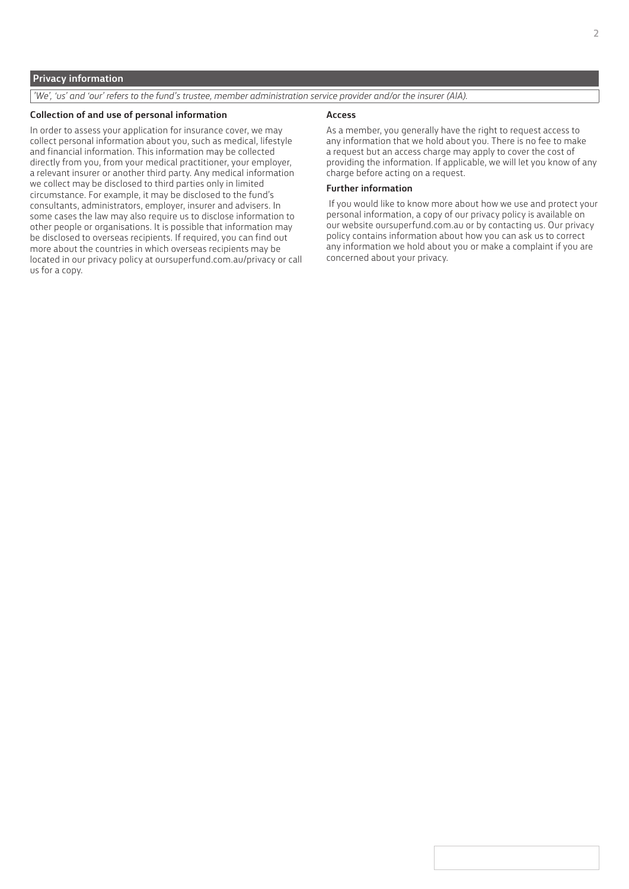# **Privacy information**

*'We', 'us' and 'our' refers to the fund's trustee, member administration service provider and/or the insurer (AIA).*

## **Collection of and use of personal information**

In order to assess your application for insurance cover, we may collect personal information about you, such as medical, lifestyle and financial information. This information may be collected directly from you, from your medical practitioner, your employer, a relevant insurer or another third party. Any medical information we collect may be disclosed to third parties only in limited circumstance. For example, it may be disclosed to the fund's consultants, administrators, employer, insurer and advisers. In some cases the law may also require us to disclose information to other people or organisations. It is possible that information may be disclosed to overseas recipients. If required, you can find out more about the countries in which overseas recipients may be located in our privacy policy at oursuperfund.com.au/privacy or call us for a copy.

#### **Access**

As a member, you generally have the right to request access to any information that we hold about you. There is no fee to make a request but an access charge may apply to cover the cost of providing the information. If applicable, we will let you know of any charge before acting on a request.

# **Further information**

If you would like to know more about how we use and protect your personal information, a copy of our privacy policy is available on our website oursuperfund.com.au or by contacting us. Our privacy policy contains information about how you can ask us to correct any information we hold about you or make a complaint if you are concerned about your privacy.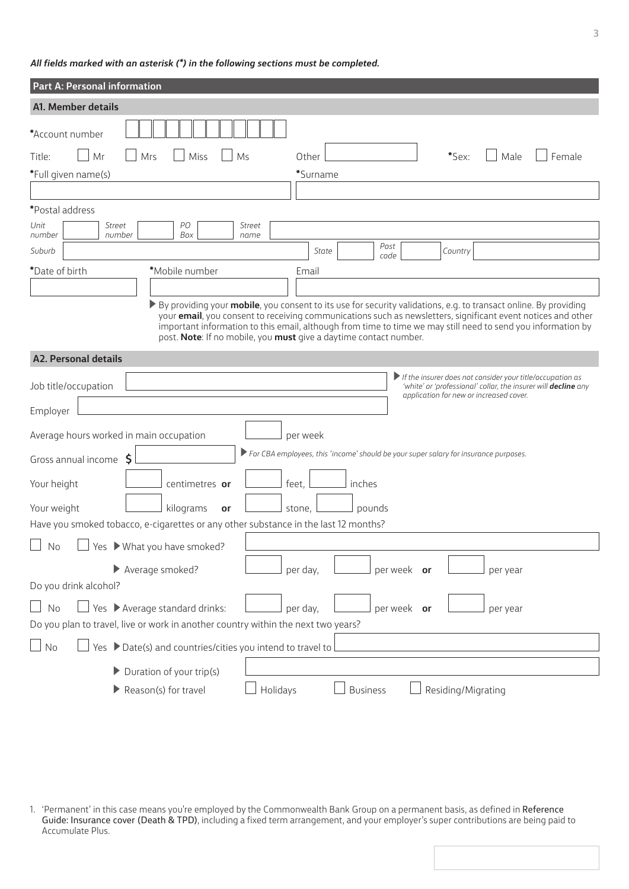# *All fields marked with an asterisk (\*) in the following sections must be completed.*

| Part A: Personal information                                                                                                                                                                                                                                                                                                                                                                                                    |
|---------------------------------------------------------------------------------------------------------------------------------------------------------------------------------------------------------------------------------------------------------------------------------------------------------------------------------------------------------------------------------------------------------------------------------|
| A1. Member details                                                                                                                                                                                                                                                                                                                                                                                                              |
| *Account number<br>Mr<br>*Sex:<br>Male<br>Female<br>Title:<br>Mrs<br>Miss<br>Ms<br>Other<br>*Full given name(s)<br>*Surname                                                                                                                                                                                                                                                                                                     |
|                                                                                                                                                                                                                                                                                                                                                                                                                                 |
| *Postal address                                                                                                                                                                                                                                                                                                                                                                                                                 |
| Unit<br><b>Street</b><br>PО<br><b>Street</b><br>Box<br>number<br>number<br>name                                                                                                                                                                                                                                                                                                                                                 |
| Post<br>Suburb<br>State<br>Country<br>code                                                                                                                                                                                                                                                                                                                                                                                      |
| *Date of birth<br>*Mobile number<br>Email                                                                                                                                                                                                                                                                                                                                                                                       |
|                                                                                                                                                                                                                                                                                                                                                                                                                                 |
| ▶ By providing your <b>mobile</b> , you consent to its use for security validations, e.g. to transact online. By providing<br>your email, you consent to receiving communications such as newsletters, significant event notices and other<br>important information to this email, although from time to time we may still need to send you information by<br>post. Note: If no mobile, you must give a daytime contact number. |
| <b>A2. Personal details</b>                                                                                                                                                                                                                                                                                                                                                                                                     |
| $\blacktriangleright$ If the insurer does not consider your title/occupation as<br>Job title/occupation<br>'white' or 'professional' collar, the insurer will <b>decline</b> any<br>application for new or increased cover.<br>Employer                                                                                                                                                                                         |
| Average hours worked in main occupation<br>per week<br>> For CBA employees, this 'income' should be your super salary for insurance purposes.                                                                                                                                                                                                                                                                                   |
| Gross annual income \$                                                                                                                                                                                                                                                                                                                                                                                                          |
| feet,<br>Your height<br>inches<br>centimetres or                                                                                                                                                                                                                                                                                                                                                                                |
| Your weight<br>kilograms<br>stone,<br>pounds<br>or                                                                                                                                                                                                                                                                                                                                                                              |
| Have you smoked tobacco, e-cigarettes or any other substance in the last 12 months?                                                                                                                                                                                                                                                                                                                                             |
| Yes What you have smoked?<br>No                                                                                                                                                                                                                                                                                                                                                                                                 |
| Average smoked?<br>per day,<br>per week or<br>per year                                                                                                                                                                                                                                                                                                                                                                          |
| Do you drink alcohol?                                                                                                                                                                                                                                                                                                                                                                                                           |
| Yes > Average standard drinks:<br>No<br>per week or<br>per day,<br>per year<br>Do you plan to travel, live or work in another country within the next two years?                                                                                                                                                                                                                                                                |
| Yes ▶ Date(s) and countries/cities you intend to travel to<br>No                                                                                                                                                                                                                                                                                                                                                                |
| Duration of your trip(s)                                                                                                                                                                                                                                                                                                                                                                                                        |
| Holidays<br>Reason(s) for travel<br>Residing/Migrating<br><b>Business</b>                                                                                                                                                                                                                                                                                                                                                       |
|                                                                                                                                                                                                                                                                                                                                                                                                                                 |

1. 'Permanent' in this case means you're employed by the Commonwealth Bank Group on a permanent basis, as defined in Reference Guide: Insurance cover (Death & TPD), including a fixed term arrangement, and your employer's super contributions are being paid to Accumulate Plus.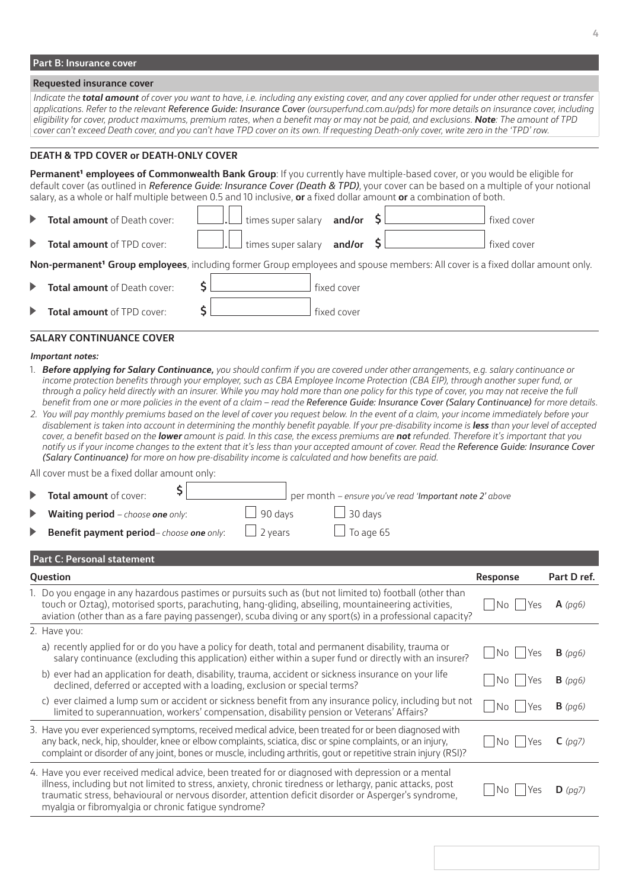# **Part B: Insurance cover**

#### **Requested insurance cover**

*Indicate the total amount of cover you want to have, i.e. including any existing cover, and any cover applied for under other request or transfer applications. Refer to the relevant Reference Guide: Insurance Cover (oursuperfund.com.au/pds) for more details on insurance cover, including eligibility for cover, product maximums, premium rates, when a benefit may or may not be paid, and exclusions. Note: The amount of TPD cover can't exceed Death cover, and you can't have TPD cover on its own. If requesting Death-only cover, write zero in the 'TPD' row.*

# **DEATH & TPD COVER or DEATH-ONLY COVER**

**Permanent<sup>1</sup> employees of Commonwealth Bank Group**: If you currently have multiple-based cover, or you would be eligible for default cover (as outlined in *Reference Guide: Insurance Cover (Death & TPD)*, your cover can be based on a multiple of your notional salary, as a whole or half multiple between 0.5 and 10 inclusive, **or** a fixed dollar amount **or** a combination of both.

| <b>Total amount of Death cover:</b> | $\Box$ times super salary and/or $\mathsf{SL}$ |  | fixed cover |
|-------------------------------------|------------------------------------------------|--|-------------|
| <b>Total amount of TPD cover:</b>   | times super salary and/or                      |  | fixed cover |

Non-permanent<sup>1</sup> Group employees, including former Group employees and spouse members: All cover is a fixed dollar amount only.

|   | <b>Total amount</b> of Death cover: | fixed cover |
|---|-------------------------------------|-------------|
| ▶ | <b>Total amount</b> of TPD cover:   | fixed cover |

#### **SALARY CONTINUANCE COVER**

#### *Important notes:*

- 1. *Before applying for Salary Continuance, you should confirm if you are covered under other arrangements, e.g. salary continuance or*  income protection benefits through your employer, such as CBA Employee Income Protection (CBA EIP), through another super fund, or *through a policy held directly with an insurer. While you may hold more than one policy for this type of cover, you may not receive the full benefit from one or more policies in the event of a claim – read the Reference Guide: Insurance Cover (Salary Continuance) for more details.*
- *2. You will pay monthly premiums based on the level of cover you request below. In the event of a claim, your income immediately before your*  disablement is taken into account in determining the monthly benefit payable. If your pre-disability income is **less** than your level of accepted *cover, a benefit based on the lower amount is paid. In this case, the excess premiums are not refunded. Therefore it's important that you notify us if your income changes to the extent that it's less than your accepted amount of cover. Read the Reference Guide: Insurance Cover (Salary Continuance) for more on how pre-disability income is calculated and how benefits are paid.*

All cover must be a fixed dollar amount only:

|                       | Total amount of cover:                                  |                | per month - ensure you've read 'Important note 2' above |
|-----------------------|---------------------------------------------------------|----------------|---------------------------------------------------------|
|                       | $\blacktriangleright$ Waiting period – choose one only: | $\Box$ 90 days | $\Box$ 30 days                                          |
| $\blacktriangleright$ | Benefit payment period-choose one only:                 | $\Box$ 2 years | $\Box$ To age 65                                        |

# **Part C: Personal statement**

| Question                                                                                                                                                                                                                                                                                                                                                                          | <b>Response</b> | Part D ref.        |
|-----------------------------------------------------------------------------------------------------------------------------------------------------------------------------------------------------------------------------------------------------------------------------------------------------------------------------------------------------------------------------------|-----------------|--------------------|
| 1. Do you engage in any hazardous pastimes or pursuits such as (but not limited to) football (other than<br>touch or Oztaq), motorised sports, parachuting, hang-gliding, abseiling, mountaineering activities,<br>aviation (other than as a fare paying passenger), scuba diving or any sport(s) in a professional capacity?                                                     | No<br>Yes       | $A$ (pg6)          |
| 2. Have you:                                                                                                                                                                                                                                                                                                                                                                      |                 |                    |
| a) recently applied for or do you have a policy for death, total and permanent disability, trauma or<br>salary continuance (excluding this application) either within a super fund or directly with an insurer?                                                                                                                                                                   | No<br>Yes       | $B$ (pg6)          |
| b) ever had an application for death, disability, trauma, accident or sickness insurance on your life<br>declined, deferred or accepted with a loading, exclusion or special terms?                                                                                                                                                                                               | No<br>Yes       | $B$ (pg6)          |
| c) ever claimed a lump sum or accident or sickness benefit from any insurance policy, including but not<br>limited to superannuation, workers' compensation, disability pension or Veterans' Affairs?                                                                                                                                                                             | i No<br>Yes     | $B$ (pg6)          |
| 3. Have you ever experienced symptoms, received medical advice, been treated for or been diagnosed with<br>any back, neck, hip, shoulder, knee or elbow complaints, sciatica, disc or spine complaints, or an injury,<br>complaint or disorder of any joint, bones or muscle, including arthritis, gout or repetitive strain injury (RSI)?                                        | No<br>Yes       | $C$ (pq7)          |
| 4. Have you ever received medical advice, been treated for or diagnosed with depression or a mental<br>illness, including but not limited to stress, anxiety, chronic tiredness or lethargy, panic attacks, post<br>traumatic stress, behavioural or nervous disorder, attention deficit disorder or Asperger's syndrome,<br>myalgia or fibromyalgia or chronic fatigue syndrome? | No<br>Yes       | $\mathbf{D}$ (pg7) |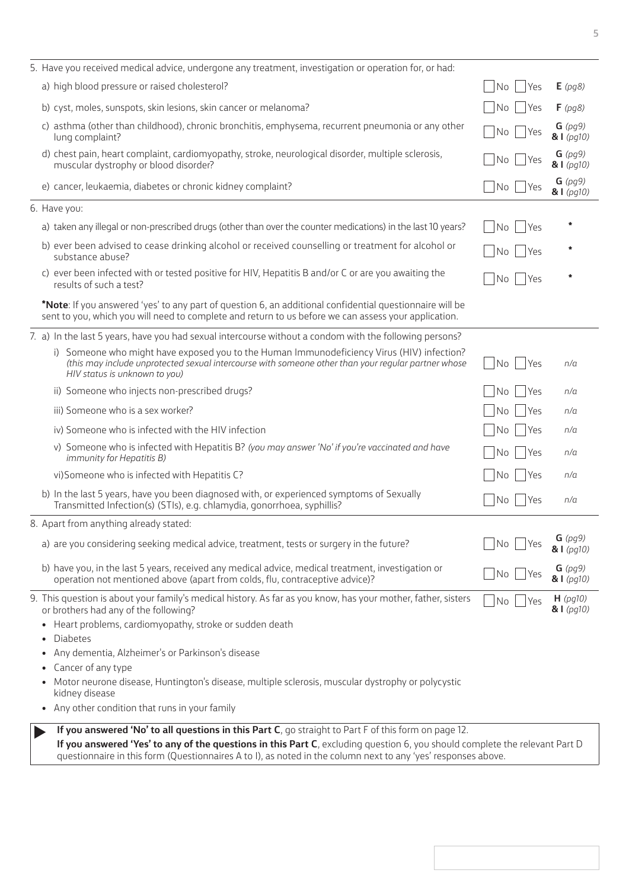| 5. Have you received medical advice, undergone any treatment, investigation or operation for, or had:                                                                                                                                                                                                                                                |                                                                    |                           |
|------------------------------------------------------------------------------------------------------------------------------------------------------------------------------------------------------------------------------------------------------------------------------------------------------------------------------------------------------|--------------------------------------------------------------------|---------------------------|
| a) high blood pressure or raised cholesterol?                                                                                                                                                                                                                                                                                                        | Yes<br>No                                                          | $E$ (pg8)                 |
| b) cyst, moles, sunspots, skin lesions, skin cancer or melanoma?                                                                                                                                                                                                                                                                                     | <b>No</b><br> Yes                                                  | $F$ (pg8)                 |
| c) asthma (other than childhood), chronic bronchitis, emphysema, recurrent pneumonia or any other<br>lung complaint?                                                                                                                                                                                                                                 | No<br>  Yes                                                        | $G$ (pg9)<br>81(pq10)     |
| d) chest pain, heart complaint, cardiomyopathy, stroke, neurological disorder, multiple sclerosis,<br>muscular dystrophy or blood disorder?                                                                                                                                                                                                          | No<br>Yes                                                          | $G$ (pg9)<br>81(pq10)     |
| e) cancer, leukaemia, diabetes or chronic kidney complaint?                                                                                                                                                                                                                                                                                          | No<br><b>Yes</b>                                                   | $G$ (pg9)<br>81 (pg10)    |
| 6. Have you:                                                                                                                                                                                                                                                                                                                                         |                                                                    |                           |
| a) taken any illegal or non-prescribed drugs (other than over the counter medications) in the last 10 years?                                                                                                                                                                                                                                         | No<br>Yes                                                          |                           |
| b) ever been advised to cease drinking alcohol or received counselling or treatment for alcohol or<br>substance abuse?                                                                                                                                                                                                                               | No<br> Yes                                                         |                           |
| c) ever been infected with or tested positive for HIV, Hepatitis B and/or C or are you awaiting the<br>results of such a test?                                                                                                                                                                                                                       | Yes<br>No                                                          |                           |
| *Note: If you answered 'yes' to any part of question 6, an additional confidential questionnaire will be<br>sent to you, which you will need to complete and return to us before we can assess your application.                                                                                                                                     |                                                                    |                           |
| 7. a) In the last 5 years, have you had sexual intercourse without a condom with the following persons?                                                                                                                                                                                                                                              |                                                                    |                           |
| i) Someone who might have exposed you to the Human Immunodeficiency Virus (HIV) infection?<br>(this may include unprotected sexual intercourse with someone other than your reqular partner whose<br>HIV status is unknown to you)                                                                                                                   | No.<br>  Yes                                                       | n/a                       |
| ii) Someone who injects non-prescribed drugs?                                                                                                                                                                                                                                                                                                        | Yes<br>No                                                          | n/a                       |
| iii) Someone who is a sex worker?                                                                                                                                                                                                                                                                                                                    | Yes<br>No                                                          | n/a                       |
| iv) Someone who is infected with the HIV infection                                                                                                                                                                                                                                                                                                   | Yes<br>No                                                          | n/a                       |
| v) Someone who is infected with Hepatitis B? (you may answer 'No' if you're vaccinated and have<br>immunity for Hepatitis B)                                                                                                                                                                                                                         | Yes<br><b>No</b>                                                   | n/a                       |
| vi) Someone who is infected with Hepatitis C?                                                                                                                                                                                                                                                                                                        | Yes<br>No                                                          | n/a                       |
| b) In the last 5 years, have you been diagnosed with, or experienced symptoms of Sexually<br>Transmitted Infection(s) (STIs), e.g. chlamydia, gonorrhoea, syphillis?                                                                                                                                                                                 | $\overline{\phantom{a}}$ No $\overline{\phantom{a}}$<br><b>Yes</b> | n/a                       |
| 8. Apart from anything already stated:                                                                                                                                                                                                                                                                                                               |                                                                    |                           |
| a) are you considering seeking medical advice, treatment, tests or surgery in the future?                                                                                                                                                                                                                                                            | No<br>Yes                                                          | $G$ (pg9)<br>$&$ $(pq10)$ |
| b) have you, in the last 5 years, received any medical advice, medical treatment, investigation or<br>operation not mentioned above (apart from colds, flu, contraceptive advice)?                                                                                                                                                                   | No<br>Yes                                                          | $G$ (pg9)<br>81(pq10)     |
| 9. This question is about your family's medical history. As far as you know, has your mother, father, sisters<br>or brothers had any of the following?<br>Heart problems, cardiomyopathy, stroke or sudden death                                                                                                                                     | No<br> Yes                                                         | $H$ (pg10)<br>81(pq10)    |
| <b>Diabetes</b>                                                                                                                                                                                                                                                                                                                                      |                                                                    |                           |
| Any dementia, Alzheimer's or Parkinson's disease<br>$\bullet$<br>Cancer of any type                                                                                                                                                                                                                                                                  |                                                                    |                           |
| Motor neurone disease, Huntington's disease, multiple sclerosis, muscular dystrophy or polycystic                                                                                                                                                                                                                                                    |                                                                    |                           |
| kidney disease<br>Any other condition that runs in your family                                                                                                                                                                                                                                                                                       |                                                                    |                           |
| If you answered 'No' to all questions in this Part C, go straight to Part F of this form on page 12.<br>If you answered 'Yes' to any of the questions in this Part C, excluding question 6, you should complete the relevant Part D<br>questionnaire in this form (Questionnaires A to I), as noted in the column next to any 'yes' responses above. |                                                                    |                           |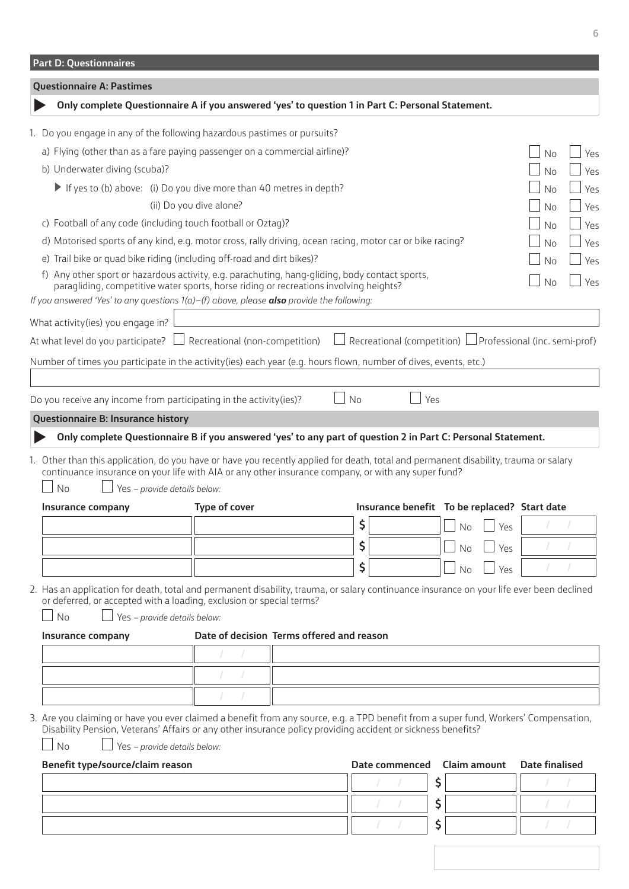<span id="page-5-1"></span><span id="page-5-0"></span>

| <b>Part D: Questionnaires</b>                                                                                                                                                                                                                                                            |                                           |    |                                                                 |                     |            |                       |     |
|------------------------------------------------------------------------------------------------------------------------------------------------------------------------------------------------------------------------------------------------------------------------------------------|-------------------------------------------|----|-----------------------------------------------------------------|---------------------|------------|-----------------------|-----|
| <b>Questionnaire A: Pastimes</b>                                                                                                                                                                                                                                                         |                                           |    |                                                                 |                     |            |                       |     |
| Only complete Questionnaire A if you answered 'yes' to question 1 in Part C: Personal Statement.                                                                                                                                                                                         |                                           |    |                                                                 |                     |            |                       |     |
| 1. Do you engage in any of the following hazardous pastimes or pursuits?                                                                                                                                                                                                                 |                                           |    |                                                                 |                     |            |                       |     |
| a) Flying (other than as a fare paying passenger on a commercial airline)?                                                                                                                                                                                                               |                                           |    |                                                                 |                     |            | <b>No</b>             | Yes |
| b) Underwater diving (scuba)?                                                                                                                                                                                                                                                            |                                           |    |                                                                 |                     |            | No                    | Yes |
| If yes to (b) above: (i) Do you dive more than 40 metres in depth?                                                                                                                                                                                                                       |                                           |    |                                                                 |                     |            | No                    | Yes |
|                                                                                                                                                                                                                                                                                          | (ii) Do you dive alone?                   |    |                                                                 |                     |            | <b>No</b>             | Yes |
| c) Football of any code (including touch football or Oztag)?                                                                                                                                                                                                                             |                                           |    |                                                                 |                     |            | No                    | Yes |
| d) Motorised sports of any kind, e.g. motor cross, rally driving, ocean racing, motor car or bike racing?                                                                                                                                                                                |                                           |    |                                                                 |                     |            | No                    | Yes |
| e) Trail bike or quad bike riding (including off-road and dirt bikes)?                                                                                                                                                                                                                   |                                           |    |                                                                 |                     |            | No                    | Yes |
| f) Any other sport or hazardous activity, e.g. parachuting, hang-gliding, body contact sports,<br>paragliding, competitive water sports, horse riding or recreations involving heights?<br>If you answered 'Yes' to any questions $1(a) - (f)$ above, please also provide the following: |                                           |    |                                                                 |                     |            | <b>No</b>             | Yes |
|                                                                                                                                                                                                                                                                                          |                                           |    |                                                                 |                     |            |                       |     |
| What activity (ies) you engage in?                                                                                                                                                                                                                                                       |                                           |    |                                                                 |                     |            |                       |     |
| At what level do you participate?                                                                                                                                                                                                                                                        | Recreational (non-competition)            |    | Recreational (competition) $\Box$ Professional (inc. semi-prof) |                     |            |                       |     |
| Number of times you participate in the activity (ies) each year (e.g. hours flown, number of dives, events, etc.)                                                                                                                                                                        |                                           |    |                                                                 |                     |            |                       |     |
| Do you receive any income from participating in the activity(ies)?                                                                                                                                                                                                                       |                                           | No | Yes                                                             |                     |            |                       |     |
| Questionnaire B: Insurance history                                                                                                                                                                                                                                                       |                                           |    |                                                                 |                     |            |                       |     |
| Only complete Questionnaire B if you answered 'yes' to any part of question 2 in Part C: Personal Statement.                                                                                                                                                                             |                                           |    |                                                                 |                     |            |                       |     |
| 1. Other than this application, do you have or have you recently applied for death, total and permanent disability, trauma or salary                                                                                                                                                     |                                           |    |                                                                 |                     |            |                       |     |
| continuance insurance on your life with AIA or any other insurance company, or with any super fund?<br><b>No</b><br>Yes - provide details below:                                                                                                                                         |                                           |    |                                                                 |                     |            |                       |     |
| Insurance company                                                                                                                                                                                                                                                                        | Type of cover                             |    | Insurance benefit To be replaced? Start date                    |                     |            |                       |     |
|                                                                                                                                                                                                                                                                                          |                                           | \$ |                                                                 | ∪ No                | $\Box$ Yes |                       |     |
|                                                                                                                                                                                                                                                                                          |                                           | \$ |                                                                 |                     |            |                       |     |
|                                                                                                                                                                                                                                                                                          |                                           |    |                                                                 | No                  | Yes        |                       |     |
|                                                                                                                                                                                                                                                                                          |                                           | \$ |                                                                 | No                  | Yes        |                       |     |
| 2. Has an application for death, total and permanent disability, trauma, or salary continuance insurance on your life ever been declined<br>or deferred, or accepted with a loading, exclusion or special terms?<br><b>No</b><br>Yes - provide details below:                            |                                           |    |                                                                 |                     |            |                       |     |
| Insurance company                                                                                                                                                                                                                                                                        | Date of decision Terms offered and reason |    |                                                                 |                     |            |                       |     |
|                                                                                                                                                                                                                                                                                          |                                           |    |                                                                 |                     |            |                       |     |
|                                                                                                                                                                                                                                                                                          |                                           |    |                                                                 |                     |            |                       |     |
|                                                                                                                                                                                                                                                                                          |                                           |    |                                                                 |                     |            |                       |     |
|                                                                                                                                                                                                                                                                                          |                                           |    |                                                                 |                     |            |                       |     |
| 3. Are you claiming or have you ever claimed a benefit from any source, e.g. a TPD benefit from a super fund, Workers' Compensation,<br>Disability Pension, Veterans' Affairs or any other insurance policy providing accident or sickness benefits?                                     |                                           |    |                                                                 |                     |            |                       |     |
| <b>No</b><br>Yes - provide details below:                                                                                                                                                                                                                                                |                                           |    |                                                                 |                     |            |                       |     |
| Benefit type/source/claim reason                                                                                                                                                                                                                                                         |                                           |    | Date commenced                                                  | <b>Claim amount</b> |            | <b>Date finalised</b> |     |
|                                                                                                                                                                                                                                                                                          |                                           |    |                                                                 | \$                  |            |                       |     |
|                                                                                                                                                                                                                                                                                          |                                           |    |                                                                 | \$                  |            |                       |     |
|                                                                                                                                                                                                                                                                                          |                                           |    |                                                                 | \$                  |            |                       |     |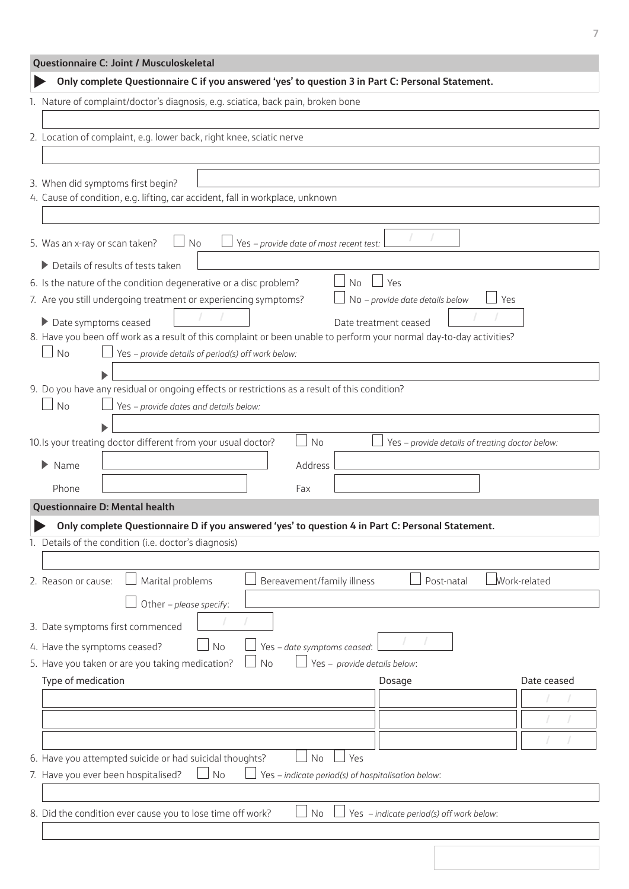<span id="page-6-1"></span><span id="page-6-0"></span>

| Questionnaire C: Joint / Musculoskeletal                                                                             |  |  |  |  |
|----------------------------------------------------------------------------------------------------------------------|--|--|--|--|
| Only complete Questionnaire C if you answered 'yes' to question 3 in Part C: Personal Statement.                     |  |  |  |  |
| 1. Nature of complaint/doctor's diagnosis, e.g. sciatica, back pain, broken bone                                     |  |  |  |  |
|                                                                                                                      |  |  |  |  |
| 2. Location of complaint, e.g. lower back, right knee, sciatic nerve                                                 |  |  |  |  |
|                                                                                                                      |  |  |  |  |
| 3. When did symptoms first begin?                                                                                    |  |  |  |  |
| 4. Cause of condition, e.g. lifting, car accident, fall in workplace, unknown                                        |  |  |  |  |
|                                                                                                                      |  |  |  |  |
| 5. Was an x-ray or scan taken?<br>No<br>Yes - provide date of most recent test:                                      |  |  |  |  |
| Details of results of tests taken<br>▶                                                                               |  |  |  |  |
| 6. Is the nature of the condition degenerative or a disc problem?<br>Yes<br><b>No</b>                                |  |  |  |  |
| 7. Are you still undergoing treatment or experiencing symptoms?<br>No - provide date details below<br>Yes            |  |  |  |  |
| Date symptoms ceased<br>Date treatment ceased                                                                        |  |  |  |  |
| 8. Have you been off work as a result of this complaint or been unable to perform your normal day-to-day activities? |  |  |  |  |
| No<br>Yes - provide details of period(s) off work below:                                                             |  |  |  |  |
|                                                                                                                      |  |  |  |  |
| 9. Do you have any residual or ongoing effects or restrictions as a result of this condition?                        |  |  |  |  |
| No<br>Yes - provide dates and details below:                                                                         |  |  |  |  |
| No                                                                                                                   |  |  |  |  |
| 10. Is your treating doctor different from your usual doctor?<br>Yes - provide details of treating doctor below:     |  |  |  |  |
| $\blacktriangleright$ Name<br>Address                                                                                |  |  |  |  |
| Phone<br>Fax                                                                                                         |  |  |  |  |
| Questionnaire D: Mental health                                                                                       |  |  |  |  |
| Only complete Questionnaire D if you answered 'yes' to question 4 in Part C: Personal Statement.                     |  |  |  |  |
| 1. Details of the condition (i.e. doctor's diagnosis)                                                                |  |  |  |  |
|                                                                                                                      |  |  |  |  |
| Work-related<br>Marital problems<br>2. Reason or cause:<br>Bereavement/family illness<br>Post-natal                  |  |  |  |  |
| Other - please specify:                                                                                              |  |  |  |  |
| 3. Date symptoms first commenced                                                                                     |  |  |  |  |
| 4. Have the symptoms ceased?<br>Yes - date symptoms ceased:<br>No                                                    |  |  |  |  |
| Yes - provide details below:<br>5. Have you taken or are you taking medication?<br>No                                |  |  |  |  |
| Type of medication<br>Date ceased<br>Dosage                                                                          |  |  |  |  |
|                                                                                                                      |  |  |  |  |
|                                                                                                                      |  |  |  |  |
|                                                                                                                      |  |  |  |  |
| Yes<br>6. Have you attempted suicide or had suicidal thoughts?<br>No                                                 |  |  |  |  |
| 7. Have you ever been hospitalised?<br>No<br>Yes - indicate period(s) of hospitalisation below:                      |  |  |  |  |
|                                                                                                                      |  |  |  |  |
| 8. Did the condition ever cause you to lose time off work?<br>No<br>Yes - indicate period(s) off work below:         |  |  |  |  |
|                                                                                                                      |  |  |  |  |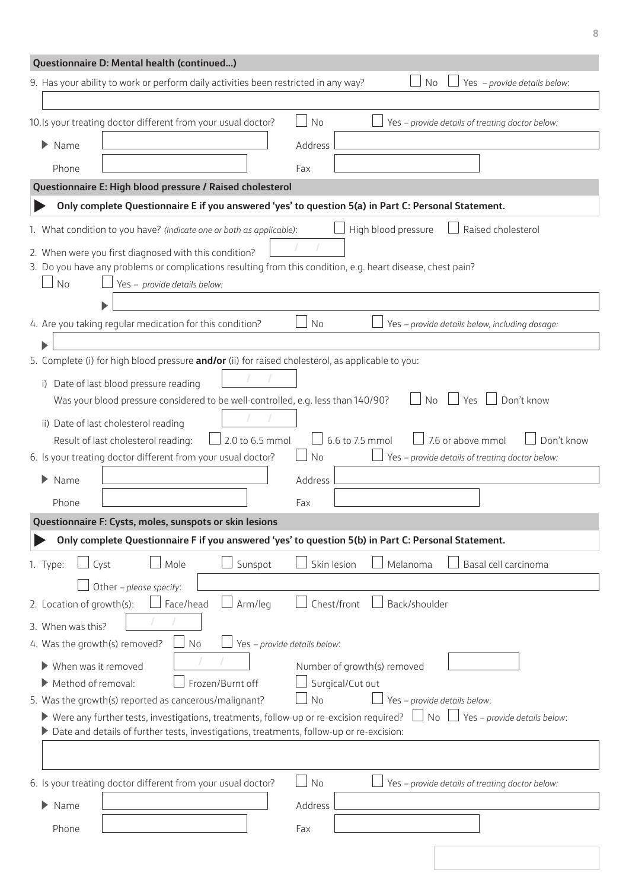<span id="page-7-1"></span><span id="page-7-0"></span>

|                                          | Questionnaire D: Mental health (continued)                                                                                                                                                               |                                                                                                             |
|------------------------------------------|----------------------------------------------------------------------------------------------------------------------------------------------------------------------------------------------------------|-------------------------------------------------------------------------------------------------------------|
|                                          | 9. Has your ability to work or perform daily activities been restricted in any way?                                                                                                                      | Yes - provide details below:<br>No.                                                                         |
|                                          | 10. Is your treating doctor different from your usual doctor?                                                                                                                                            | <b>No</b><br>Yes - provide details of treating doctor below:                                                |
| ▶<br>Name                                |                                                                                                                                                                                                          | Address                                                                                                     |
| Phone                                    |                                                                                                                                                                                                          | Fax                                                                                                         |
|                                          | Questionnaire E: High blood pressure / Raised cholesterol                                                                                                                                                |                                                                                                             |
|                                          |                                                                                                                                                                                                          | Only complete Questionnaire E if you answered 'yes' to question 5(a) in Part C: Personal Statement.         |
|                                          | 1. What condition to you have? (indicate one or both as applicable):                                                                                                                                     | High blood pressure<br>Raised cholesterol                                                                   |
| No                                       | 2. When were you first diagnosed with this condition?<br>Yes - provide details below:                                                                                                                    | 3. Do you have any problems or complications resulting from this condition, e.g. heart disease, chest pain? |
|                                          | 4. Are you taking regular medication for this condition?                                                                                                                                                 | No<br>Yes - provide details below, including dosage:                                                        |
|                                          |                                                                                                                                                                                                          |                                                                                                             |
|                                          | 5. Complete (i) for high blood pressure and/or (ii) for raised cholesterol, as applicable to you:                                                                                                        |                                                                                                             |
| i)                                       | Date of last blood pressure reading                                                                                                                                                                      |                                                                                                             |
|                                          | Was your blood pressure considered to be well-controlled, e.g. less than 140/90?                                                                                                                         | Don't know<br>Yes<br>No                                                                                     |
|                                          | ii) Date of last cholesterol reading                                                                                                                                                                     |                                                                                                             |
|                                          | 2.0 to 6.5 mmol<br>Result of last cholesterol reading:                                                                                                                                                   | 6.6 to 7.5 mmol<br>7.6 or above mmol<br>Don't know                                                          |
|                                          | 6. Is your treating doctor different from your usual doctor?                                                                                                                                             | Yes - provide details of treating doctor below:<br><b>No</b>                                                |
| ▶<br>Name                                |                                                                                                                                                                                                          | Address                                                                                                     |
| Phone                                    |                                                                                                                                                                                                          | Fax                                                                                                         |
|                                          | Questionnaire F: Cysts, moles, sunspots or skin lesions                                                                                                                                                  |                                                                                                             |
|                                          |                                                                                                                                                                                                          | Only complete Questionnaire F if you answered 'yes' to question 5(b) in Part C: Personal Statement.         |
| 1. Type:                                 | Sunspot<br>Mole<br>Cyst                                                                                                                                                                                  | Skin lesion<br>Melanoma<br>Basal cell carcinoma                                                             |
|                                          | Other - please specify:                                                                                                                                                                                  |                                                                                                             |
| 2. Location of growth(s):                | Face/head<br>Arm/leg                                                                                                                                                                                     | Chest/front<br>Back/shoulder                                                                                |
| 3. When was this?                        |                                                                                                                                                                                                          |                                                                                                             |
| 4. Was the growth(s) removed?            | No                                                                                                                                                                                                       | Yes - provide details below:                                                                                |
| When was it removed                      |                                                                                                                                                                                                          | Number of growth(s) removed                                                                                 |
| $\blacktriangleright$ Method of removal: | Frozen/Burnt off                                                                                                                                                                                         | Surgical/Cut out                                                                                            |
|                                          | 5. Was the growth(s) reported as cancerous/malignant?                                                                                                                                                    | <b>No</b><br>Yes - provide details below:                                                                   |
|                                          | $\blacktriangleright$ Were any further tests, investigations, treatments, follow-up or re-excision required?<br>Date and details of further tests, investigations, treatments, follow-up or re-excision: | $\Box$ No<br>$\Box$ Yes – provide details below:                                                            |
|                                          |                                                                                                                                                                                                          |                                                                                                             |
|                                          |                                                                                                                                                                                                          |                                                                                                             |
|                                          | 6. Is your treating doctor different from your usual doctor?                                                                                                                                             | No<br>Yes - provide details of treating doctor below:                                                       |
| ▶<br>Name                                |                                                                                                                                                                                                          | Address                                                                                                     |
| Phone                                    |                                                                                                                                                                                                          | Fax                                                                                                         |
|                                          |                                                                                                                                                                                                          |                                                                                                             |
|                                          |                                                                                                                                                                                                          |                                                                                                             |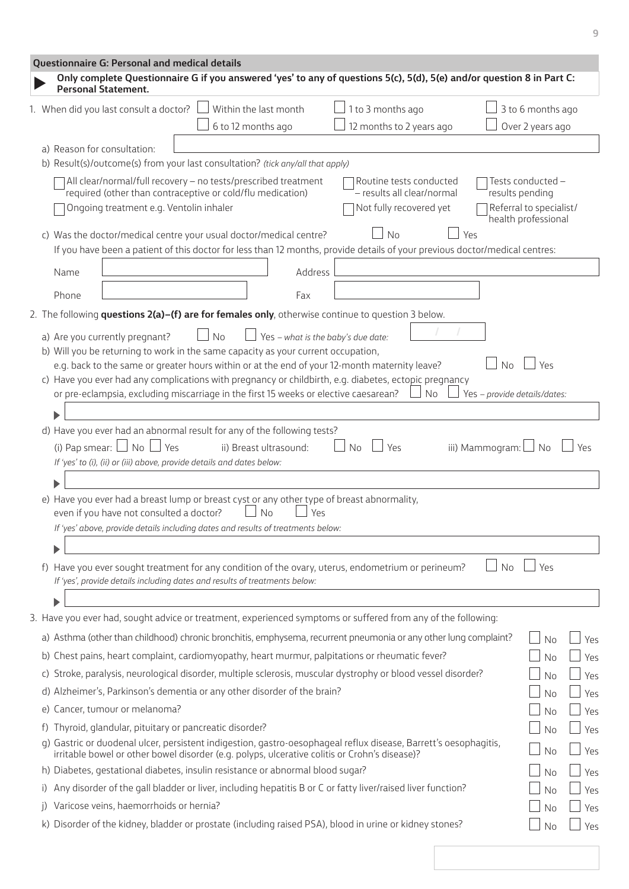<span id="page-8-0"></span>

|    | Questionnaire G: Personal and medical details                                                                                                                                                                     |                        |                                    |                                                       |                              |                                            |     |  |  |
|----|-------------------------------------------------------------------------------------------------------------------------------------------------------------------------------------------------------------------|------------------------|------------------------------------|-------------------------------------------------------|------------------------------|--------------------------------------------|-----|--|--|
|    | Only complete Questionnaire G if you answered 'yes' to any of questions 5(c), 5(d), 5(e) and/or question 8 in Part C:<br><b>Personal Statement.</b>                                                               |                        |                                    |                                                       |                              |                                            |     |  |  |
|    | 1. When did you last consult a doctor?                                                                                                                                                                            | Within the last month  |                                    | 1 to 3 months ago                                     |                              | 3 to 6 months ago                          |     |  |  |
|    |                                                                                                                                                                                                                   | 6 to 12 months ago     |                                    | 12 months to 2 years ago                              |                              | Over 2 years ago                           |     |  |  |
|    | a) Reason for consultation:                                                                                                                                                                                       |                        |                                    |                                                       |                              |                                            |     |  |  |
|    | b) Result(s)/outcome(s) from your last consultation? (tick any/all that apply)                                                                                                                                    |                        |                                    |                                                       |                              |                                            |     |  |  |
|    | All clear/normal/full recovery - no tests/prescribed treatment                                                                                                                                                    |                        |                                    | Routine tests conducted                               |                              | Tests conducted -                          |     |  |  |
|    | required (other than contraceptive or cold/flu medication)<br>Ongoing treatment e.g. Ventolin inhaler                                                                                                             |                        |                                    | - results all clear/normal<br>Not fully recovered yet |                              | results pending<br>Referral to specialist/ |     |  |  |
|    |                                                                                                                                                                                                                   |                        |                                    |                                                       |                              | health professional                        |     |  |  |
|    | c) Was the doctor/medical centre your usual doctor/medical centre?                                                                                                                                                |                        |                                    | <b>No</b>                                             | Yes                          |                                            |     |  |  |
|    | If you have been a patient of this doctor for less than 12 months, provide details of your previous doctor/medical centres:                                                                                       |                        |                                    |                                                       |                              |                                            |     |  |  |
|    | Name                                                                                                                                                                                                              |                        | Address                            |                                                       |                              |                                            |     |  |  |
|    | Phone                                                                                                                                                                                                             |                        | Fax                                |                                                       |                              |                                            |     |  |  |
|    | 2. The following questions 2(a)-(f) are for females only, otherwise continue to question 3 below.                                                                                                                 |                        |                                    |                                                       |                              |                                            |     |  |  |
|    |                                                                                                                                                                                                                   |                        |                                    |                                                       |                              |                                            |     |  |  |
|    | a) Are you currently pregnant?<br>b) Will you be returning to work in the same capacity as your current occupation,                                                                                               | No                     | Yes - what is the baby's due date: |                                                       |                              |                                            |     |  |  |
|    | e.g. back to the same or greater hours within or at the end of your 12-month maternity leave?                                                                                                                     |                        |                                    |                                                       | No                           | Yρς                                        |     |  |  |
|    | c) Have you ever had any complications with pregnancy or childbirth, e.g. diabetes, ectopic pregnancy                                                                                                             |                        |                                    |                                                       |                              |                                            |     |  |  |
|    | or pre-eclampsia, excluding miscarriage in the first 15 weeks or elective caesarean?                                                                                                                              |                        |                                    | No                                                    | Yes - provide details/dates: |                                            |     |  |  |
|    |                                                                                                                                                                                                                   |                        |                                    |                                                       |                              |                                            |     |  |  |
|    | d) Have you ever had an abnormal result for any of the following tests?                                                                                                                                           |                        |                                    |                                                       |                              |                                            |     |  |  |
|    | (i) Pap smear: $\Box$ No $\Box$ Yes<br>If 'yes' to (i), (ii) or (iii) above, provide details and dates below:                                                                                                     | ii) Breast ultrasound: |                                    | No<br>Yes                                             | iii) Mammogram: $\Box$ No    |                                            | Yes |  |  |
|    |                                                                                                                                                                                                                   |                        |                                    |                                                       |                              |                                            |     |  |  |
|    | e) Have you ever had a breast lump or breast cyst or any other type of breast abnormality,                                                                                                                        |                        |                                    |                                                       |                              |                                            |     |  |  |
|    | even if you have not consulted a doctor?                                                                                                                                                                          | No                     | Yes                                |                                                       |                              |                                            |     |  |  |
|    | If 'yes' above, provide details including dates and results of treatments below:                                                                                                                                  |                        |                                    |                                                       |                              |                                            |     |  |  |
|    |                                                                                                                                                                                                                   |                        |                                    |                                                       |                              |                                            |     |  |  |
|    | f) Have you ever sought treatment for any condition of the ovary, uterus, endometrium or perineum?<br>If 'yes', provide details including dates and results of treatments below:                                  |                        |                                    |                                                       | No                           | Yes                                        |     |  |  |
|    |                                                                                                                                                                                                                   |                        |                                    |                                                       |                              |                                            |     |  |  |
|    | 3. Have you ever had, sought advice or treatment, experienced symptoms or suffered from any of the following:                                                                                                     |                        |                                    |                                                       |                              |                                            |     |  |  |
|    | a) Asthma (other than childhood) chronic bronchitis, emphysema, recurrent pneumonia or any other lung complaint?                                                                                                  |                        |                                    |                                                       |                              | No                                         | Yes |  |  |
| b) | Chest pains, heart complaint, cardiomyopathy, heart murmur, palpitations or rheumatic fever?                                                                                                                      |                        |                                    |                                                       |                              | No                                         | Yes |  |  |
|    | c) Stroke, paralysis, neurological disorder, multiple sclerosis, muscular dystrophy or blood vessel disorder?                                                                                                     |                        |                                    |                                                       |                              | <b>No</b>                                  | Yes |  |  |
|    | d) Alzheimer's, Parkinson's dementia or any other disorder of the brain?                                                                                                                                          |                        |                                    |                                                       |                              | No                                         | Yes |  |  |
|    | e) Cancer, tumour or melanoma?                                                                                                                                                                                    |                        |                                    |                                                       |                              | No                                         | Yes |  |  |
|    | f) Thyroid, glandular, pituitary or pancreatic disorder?                                                                                                                                                          |                        |                                    |                                                       |                              | No                                         | Yes |  |  |
|    | g) Gastric or duodenal ulcer, persistent indigestion, gastro-oesophageal reflux disease, Barrett's oesophagitis,<br>irritable bowel or other bowel disorder (e.g. polyps, ulcerative colitis or Crohn's disease)? |                        |                                    |                                                       |                              | No                                         | Yes |  |  |
|    | h) Diabetes, gestational diabetes, insulin resistance or abnormal blood sugar?                                                                                                                                    |                        |                                    |                                                       |                              | No                                         | Yes |  |  |
|    | Any disorder of the gall bladder or liver, including hepatitis B or C or fatty liver/raised liver function?                                                                                                       |                        |                                    |                                                       |                              | No                                         | Yes |  |  |
|    | Varicose veins, haemorrhoids or hernia?                                                                                                                                                                           |                        |                                    |                                                       |                              | No                                         | Yes |  |  |
|    | k) Disorder of the kidney, bladder or prostate (including raised PSA), blood in urine or kidney stones?                                                                                                           |                        |                                    |                                                       |                              | No                                         | Yes |  |  |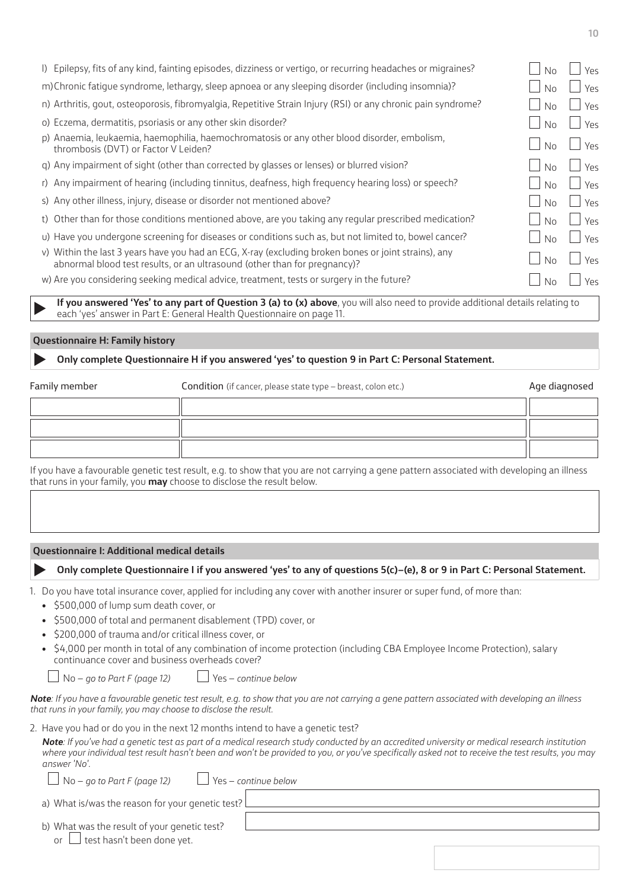| I) Epilepsy, fits of any kind, fainting episodes, dizziness or vertigo, or recurring headaches or migraines?                                                                      | No.            | $Y_{\mathsf{P}}S$ |
|-----------------------------------------------------------------------------------------------------------------------------------------------------------------------------------|----------------|-------------------|
| m) Chronic fatique syndrome, lethargy, sleep apnoea or any sleeping disorder (including insomnia)?                                                                                | No             | Yes               |
| n) Arthritis, gout, osteoporosis, fibromyalgia, Repetitive Strain Injury (RSI) or any chronic pain syndrome?                                                                      | No.            | Yes               |
| o) Eczema, dermatitis, psoriasis or any other skin disorder?                                                                                                                      | No.            | Yes               |
| p) Anaemia, leukaemia, haemophilia, haemochromatosis or any other blood disorder, embolism,<br>thrombosis (DVT) or Factor V Leiden?                                               | <b>No</b>      | Yes               |
| q) Any impairment of sight (other than corrected by glasses or lenses) or blurred vision?                                                                                         | No             | Yes               |
| r) Any impairment of hearing (including tinnitus, deafness, high frequency hearing loss) or speech?                                                                               | No             | Yes               |
| s) Any other illness, injury, disease or disorder not mentioned above?                                                                                                            | N <sub>o</sub> | Yes               |
| t) Other than for those conditions mentioned above, are you taking any regular prescribed medication?                                                                             | No             | Yes               |
| u) Have you undergone screening for diseases or conditions such as, but not limited to, bowel cancer?                                                                             | No.            | Yes               |
| v) Within the last 3 years have you had an ECG, X-ray (excluding broken bones or joint strains), any<br>abnormal blood test results, or an ultrasound (other than for pregnancy)? | No             | Yes               |
| w) Are you considering seeking medical advice, treatment, tests or surgery in the future?                                                                                         | No.            | Yρς               |
|                                                                                                                                                                                   |                |                   |

 **If you answered 'Yes' to any part of Question 3 (a) to (x) above**, you will also need to provide additional details relating to each 'yes' answer in Part E: General Health Questionnaire on [page 11](#page-10-0).

## <span id="page-9-1"></span>**Questionnaire H: Family history**

# **Only complete Questionnaire H if you answered 'yes' to question 9 in Part C: Personal Statement.**

| Family member | Condition (if cancer, please state type - breast, colon etc.) | Age diagnosed |
|---------------|---------------------------------------------------------------|---------------|
|               |                                                               |               |
|               |                                                               |               |
|               |                                                               |               |

If you have a favourable genetic test result, e.g. to show that you are not carrying a gene pattern associated with developing an illness that runs in your family, you **may** choose to disclose the result below.

# <span id="page-9-0"></span>**Questionnaire I: Additional medical details**

# **Only complete Questionnaire I if you answered 'yes' to any of questions 5(c)–(e), 8 or 9 in Part C: Personal Statement.**

- 1. Do you have total insurance cover, applied for including any cover with another insurer or super fund, of more than:
	- \$500,000 of lump sum death cover, or
	- \$500,000 of total and permanent disablement (TPD) cover, or
	- \$200,000 of trauma and/or critical illness cover, or
	- \$4,000 per month in total of any combination of income protection (including CBA Employee Income Protection), salary continuance cover and business overheads cover?

No – *go to Part F [\(page 12](#page-11-0))* Yes – *continue below*

*Note: If you have a favourable genetic test result, e.g. to show that you are not carrying a gene pattern associated with developing an illness that runs in your family, you may choose to disclose the result.*

2. Have you had or do you in the next 12 months intend to have a genetic test?

*Note: If you've had a genetic test as part of a medical research study conducted by an accredited university or medical research institution where your individual test result hasn't been and won't be provided to you, or you've specifically asked not to receive the test results, you may answer 'No'.*

No – *go to Part F [\(page 12](#page-11-0))* Yes – *continue below*

a) What is/was the reason for your genetic test?

| b) What was the result of your genetic test? |  |
|----------------------------------------------|--|
|                                              |  |

or  $\Box$  test hasn't been done yet.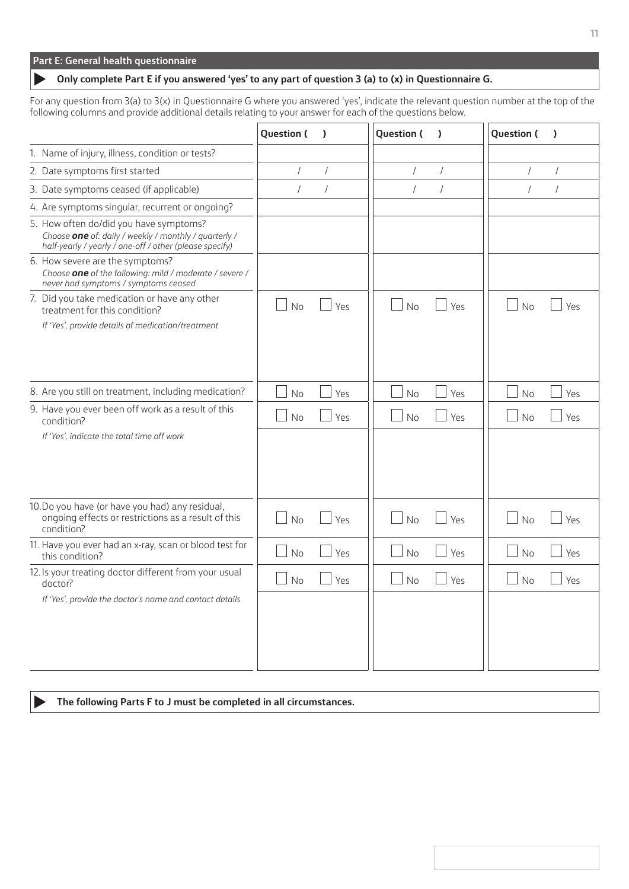<span id="page-10-0"></span>

|  | Part E: General health questionnaire |  |
|--|--------------------------------------|--|
|  |                                      |  |

# **Only complete Part E if you answered 'yes' to any part of question 3 (a) to (x) in Questionnaire G.**

For any question from 3(a) to 3(x) in Questionnaire G where you answered 'yes', indicate the relevant question number at the top of the following columns and provide additional details relating to your answer for each of the questions below.

|                                                                                                                                                            | Question (     | $\lambda$  | <b>Question (</b> | $\lambda$      | Question (     | $\lambda$      |
|------------------------------------------------------------------------------------------------------------------------------------------------------------|----------------|------------|-------------------|----------------|----------------|----------------|
| 1. Name of injury, illness, condition or tests?                                                                                                            |                |            |                   |                |                |                |
| 2. Date symptoms first started                                                                                                                             | $\sqrt{2}$     | $\sqrt{ }$ | $\sqrt{ }$        | $\sqrt{2}$     | $\sqrt{2}$     | $\sqrt{2}$     |
| 3. Date symptoms ceased (if applicable)                                                                                                                    | $\overline{1}$ | $\sqrt{ }$ | $\sqrt{ }$        | $\overline{1}$ | $\overline{1}$ | $\overline{1}$ |
| 4. Are symptoms singular, recurrent or ongoing?                                                                                                            |                |            |                   |                |                |                |
| 5. How often do/did you have symptoms?<br>Choose one of: daily / weekly / monthly / quarterly /<br>half-yearly / yearly / one-off / other (please specify) |                |            |                   |                |                |                |
| 6. How severe are the symptoms?<br>Choose one of the following: mild / moderate / severe /<br>never had symptoms / symptoms ceased                         |                |            |                   |                |                |                |
| 7. Did you take medication or have any other<br>treatment for this condition?<br>If 'Yes', provide details of medication/treatment                         | No             | Yes        | No                | Yes            | No             | Yes            |
| 8. Are you still on treatment, including medication?                                                                                                       | No             | Yes        | No                | Yes            | No             | Yes            |
| 9. Have you ever been off work as a result of this<br>condition?                                                                                           | No             | Yes        | <b>No</b>         | Yes            | <b>No</b>      | Yes            |
| If 'Yes', indicate the total time off work                                                                                                                 |                |            |                   |                |                |                |
| 10.Do you have (or have you had) any residual,<br>ongoing effects or restrictions as a result of this<br>condition?                                        | No             | Yes        | No                | Yes            | No             | Yes            |
| 11. Have you ever had an x-ray, scan or blood test for<br>this condition?                                                                                  | No             | Yes        | No                | Yes            | No             | Yes            |
| 12. Is your treating doctor different from your usual<br>doctor?                                                                                           | <b>No</b>      | Yes        | <b>No</b>         | Yes            | No             | Yes            |
| If 'Yes', provide the doctor's name and contact details                                                                                                    |                |            |                   |                |                |                |

**The following Parts F to J must be completed in all circumstances.**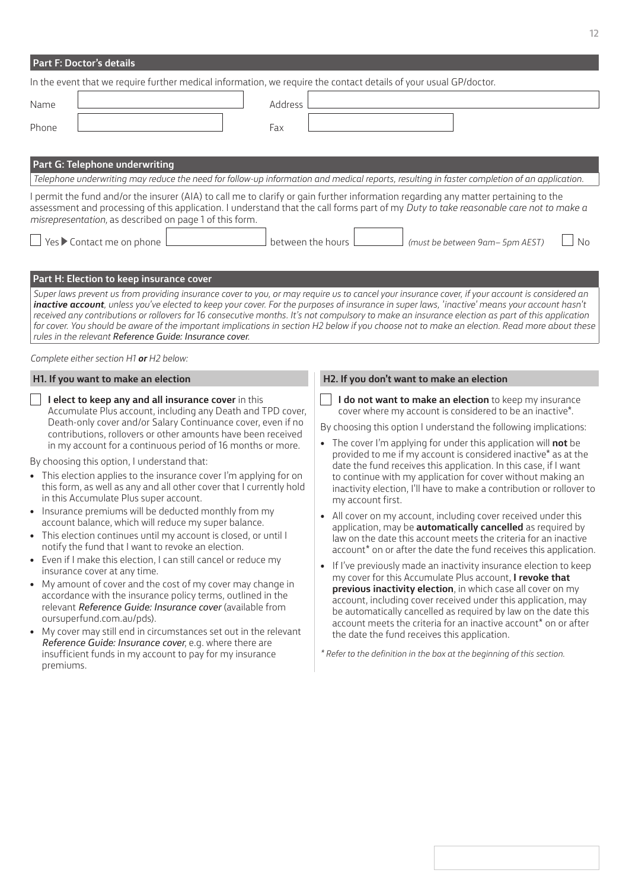<span id="page-11-0"></span>

| <b>Part F: Doctor's details</b>                                                                                   |                                                                                                                                                                                                                                                                                                                                                                                                   |                                                                                                                                                                                                                                                                                                                                                                                                                                                                                                                                                                                                                                                                                                                                                                                                                                                                                                                                                                                                                                                                                                                                                                                                                                                                                                                                                                                                                                                                                                                                                                                                                                                                                                                   |                   |                   |  |                                                                                                                                                                                                                                                                                                                                                                                                                                                                                                                                                                                                                                                                                                                                                                                                                                                                                                                                                                                                                                                                                                                                                                                                                                                                                                                                                                                                     |    |
|-------------------------------------------------------------------------------------------------------------------|---------------------------------------------------------------------------------------------------------------------------------------------------------------------------------------------------------------------------------------------------------------------------------------------------------------------------------------------------------------------------------------------------|-------------------------------------------------------------------------------------------------------------------------------------------------------------------------------------------------------------------------------------------------------------------------------------------------------------------------------------------------------------------------------------------------------------------------------------------------------------------------------------------------------------------------------------------------------------------------------------------------------------------------------------------------------------------------------------------------------------------------------------------------------------------------------------------------------------------------------------------------------------------------------------------------------------------------------------------------------------------------------------------------------------------------------------------------------------------------------------------------------------------------------------------------------------------------------------------------------------------------------------------------------------------------------------------------------------------------------------------------------------------------------------------------------------------------------------------------------------------------------------------------------------------------------------------------------------------------------------------------------------------------------------------------------------------------------------------------------------------|-------------------|-------------------|--|-----------------------------------------------------------------------------------------------------------------------------------------------------------------------------------------------------------------------------------------------------------------------------------------------------------------------------------------------------------------------------------------------------------------------------------------------------------------------------------------------------------------------------------------------------------------------------------------------------------------------------------------------------------------------------------------------------------------------------------------------------------------------------------------------------------------------------------------------------------------------------------------------------------------------------------------------------------------------------------------------------------------------------------------------------------------------------------------------------------------------------------------------------------------------------------------------------------------------------------------------------------------------------------------------------------------------------------------------------------------------------------------------------|----|
| In the event that we require further medical information, we require the contact details of your usual GP/doctor. |                                                                                                                                                                                                                                                                                                                                                                                                   |                                                                                                                                                                                                                                                                                                                                                                                                                                                                                                                                                                                                                                                                                                                                                                                                                                                                                                                                                                                                                                                                                                                                                                                                                                                                                                                                                                                                                                                                                                                                                                                                                                                                                                                   |                   |                   |  |                                                                                                                                                                                                                                                                                                                                                                                                                                                                                                                                                                                                                                                                                                                                                                                                                                                                                                                                                                                                                                                                                                                                                                                                                                                                                                                                                                                                     |    |
| Name                                                                                                              |                                                                                                                                                                                                                                                                                                                                                                                                   |                                                                                                                                                                                                                                                                                                                                                                                                                                                                                                                                                                                                                                                                                                                                                                                                                                                                                                                                                                                                                                                                                                                                                                                                                                                                                                                                                                                                                                                                                                                                                                                                                                                                                                                   | Address           |                   |  |                                                                                                                                                                                                                                                                                                                                                                                                                                                                                                                                                                                                                                                                                                                                                                                                                                                                                                                                                                                                                                                                                                                                                                                                                                                                                                                                                                                                     |    |
| Phone                                                                                                             |                                                                                                                                                                                                                                                                                                                                                                                                   |                                                                                                                                                                                                                                                                                                                                                                                                                                                                                                                                                                                                                                                                                                                                                                                                                                                                                                                                                                                                                                                                                                                                                                                                                                                                                                                                                                                                                                                                                                                                                                                                                                                                                                                   | Fax               |                   |  |                                                                                                                                                                                                                                                                                                                                                                                                                                                                                                                                                                                                                                                                                                                                                                                                                                                                                                                                                                                                                                                                                                                                                                                                                                                                                                                                                                                                     |    |
|                                                                                                                   |                                                                                                                                                                                                                                                                                                                                                                                                   |                                                                                                                                                                                                                                                                                                                                                                                                                                                                                                                                                                                                                                                                                                                                                                                                                                                                                                                                                                                                                                                                                                                                                                                                                                                                                                                                                                                                                                                                                                                                                                                                                                                                                                                   |                   |                   |  |                                                                                                                                                                                                                                                                                                                                                                                                                                                                                                                                                                                                                                                                                                                                                                                                                                                                                                                                                                                                                                                                                                                                                                                                                                                                                                                                                                                                     |    |
|                                                                                                                   | Part G: Telephone underwriting                                                                                                                                                                                                                                                                                                                                                                    |                                                                                                                                                                                                                                                                                                                                                                                                                                                                                                                                                                                                                                                                                                                                                                                                                                                                                                                                                                                                                                                                                                                                                                                                                                                                                                                                                                                                                                                                                                                                                                                                                                                                                                                   |                   |                   |  |                                                                                                                                                                                                                                                                                                                                                                                                                                                                                                                                                                                                                                                                                                                                                                                                                                                                                                                                                                                                                                                                                                                                                                                                                                                                                                                                                                                                     |    |
|                                                                                                                   |                                                                                                                                                                                                                                                                                                                                                                                                   | Telephone underwriting may reduce the need for follow-up information and medical reports, resulting in faster completion of an application.                                                                                                                                                                                                                                                                                                                                                                                                                                                                                                                                                                                                                                                                                                                                                                                                                                                                                                                                                                                                                                                                                                                                                                                                                                                                                                                                                                                                                                                                                                                                                                       |                   |                   |  |                                                                                                                                                                                                                                                                                                                                                                                                                                                                                                                                                                                                                                                                                                                                                                                                                                                                                                                                                                                                                                                                                                                                                                                                                                                                                                                                                                                                     |    |
|                                                                                                                   |                                                                                                                                                                                                                                                                                                                                                                                                   | I permit the fund and/or the insurer (AIA) to call me to clarify or gain further information regarding any matter pertaining to the<br>assessment and processing of this application. I understand that the call forms part of my Duty to take reasonable care not to make a<br>misrepresentation, as described on page 1 of this form.                                                                                                                                                                                                                                                                                                                                                                                                                                                                                                                                                                                                                                                                                                                                                                                                                                                                                                                                                                                                                                                                                                                                                                                                                                                                                                                                                                           |                   |                   |  |                                                                                                                                                                                                                                                                                                                                                                                                                                                                                                                                                                                                                                                                                                                                                                                                                                                                                                                                                                                                                                                                                                                                                                                                                                                                                                                                                                                                     |    |
|                                                                                                                   | Yes ▶ Contact me on phone                                                                                                                                                                                                                                                                                                                                                                         |                                                                                                                                                                                                                                                                                                                                                                                                                                                                                                                                                                                                                                                                                                                                                                                                                                                                                                                                                                                                                                                                                                                                                                                                                                                                                                                                                                                                                                                                                                                                                                                                                                                                                                                   | between the hours |                   |  | (must be between 9am- 5pm AEST)                                                                                                                                                                                                                                                                                                                                                                                                                                                                                                                                                                                                                                                                                                                                                                                                                                                                                                                                                                                                                                                                                                                                                                                                                                                                                                                                                                     | No |
| $\bullet$<br>premiums.                                                                                            | Part H: Election to keep insurance cover<br>rules in the relevant Reference Guide: Insurance cover.<br>Complete either section H1 or H2 below:<br>H1. If you want to make an election<br>By choosing this option, I understand that:<br>in this Accumulate Plus super account.<br>notify the fund that I want to revoke an election.<br>insurance cover at any time.<br>oursuperfund.com.au/pds). | Super laws prevent us from providing insurance cover to you, or may require us to cancel your insurance cover, if your account is considered an<br>inactive account, unless you've elected to keep your cover. For the purposes of insurance in super laws, 'inactive' means your account hasn't<br>received any contributions or rollovers for 16 consecutive months. It's not compulsory to make an insurance election as part of this application<br>for cover. You should be aware of the important implications in section H2 below if you choose not to make an election. Read more about these<br>I elect to keep any and all insurance cover in this<br>Accumulate Plus account, including any Death and TPD cover,<br>Death-only cover and/or Salary Continuance cover, even if no<br>contributions, rollovers or other amounts have been received<br>in my account for a continuous period of 16 months or more.<br>This election applies to the insurance cover I'm applying for on<br>this form, as well as any and all other cover that I currently hold<br>Insurance premiums will be deducted monthly from my<br>account balance, which will reduce my super balance.<br>• This election continues until my account is closed, or until I<br>• Even if I make this election, I can still cancel or reduce my<br>• My amount of cover and the cost of my cover may change in<br>accordance with the insurance policy terms, outlined in the<br>relevant Reference Guide: Insurance cover (available from<br>• My cover may still end in circumstances set out in the relevant<br>Reference Guide: Insurance cover, e.g. where there are<br>insufficient funds in my account to pay for my insurance |                   | my account first. |  | H2. If you don't want to make an election<br>I do not want to make an election to keep my insurance<br>cover where my account is considered to be an inactive*.<br>By choosing this option I understand the following implications:<br>• The cover I'm applying for under this application will not be<br>provided to me if my account is considered inactive* as at the<br>date the fund receives this application. In this case, if I want<br>to continue with my application for cover without making an<br>inactivity election, I'll have to make a contribution or rollover to<br>• All cover on my account, including cover received under this<br>application, may be <b>automatically cancelled</b> as required by<br>law on the date this account meets the criteria for an inactive<br>account* on or after the date the fund receives this application.<br>• If I've previously made an inactivity insurance election to keep<br>my cover for this Accumulate Plus account, I revoke that<br>previous inactivity election, in which case all cover on my<br>account, including cover received under this application, may<br>be automatically cancelled as required by law on the date this<br>account meets the criteria for an inactive account* on or after<br>the date the fund receives this application.<br>* Refer to the definition in the box at the beginning of this section. |    |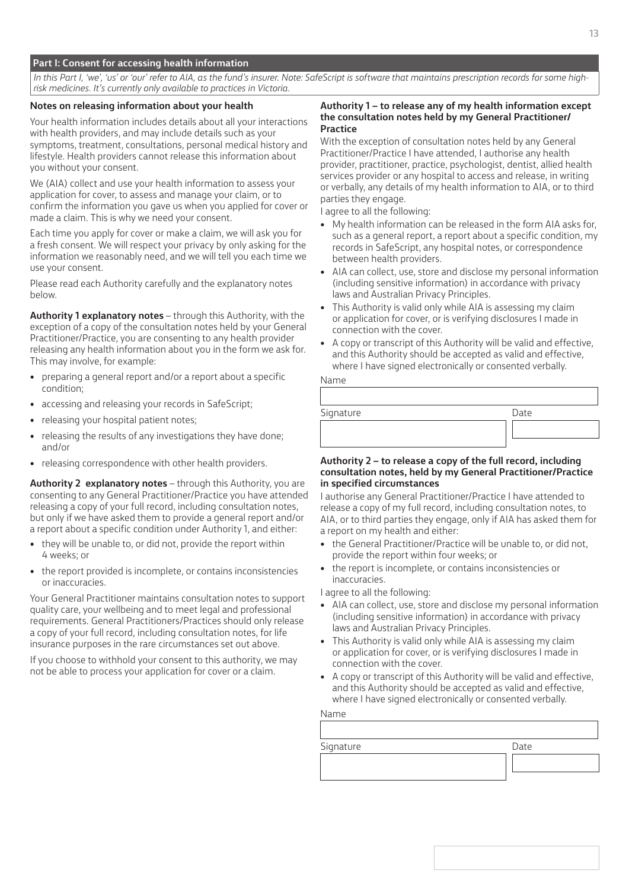# **Part I: Consent for accessing health information**

*In this Part I, 'we', 'us' or 'our' refer to AIA, as the fund's insurer. Note: SafeScript is software that maintains prescription records for some highrisk medicines. It's currently only available to practices in Victoria.*

# **Notes on releasing information about your health**

Your health information includes details about all your interactions with health providers, and may include details such as your symptoms, treatment, consultations, personal medical history and lifestyle. Health providers cannot release this information about you without your consent.

We (AIA) collect and use your health information to assess your application for cover, to assess and manage your claim, or to confirm the information you gave us when you applied for cover or made a claim. This is why we need your consent.

Each time you apply for cover or make a claim, we will ask you for a fresh consent. We will respect your privacy by only asking for the information we reasonably need, and we will tell you each time we use your consent.

Please read each Authority carefully and the explanatory notes below.

**Authority 1 explanatory notes** – through this Authority, with the exception of a copy of the consultation notes held by your General Practitioner/Practice, you are consenting to any health provider releasing any health information about you in the form we ask for. This may involve, for example:

- preparing a general report and/or a report about a specific condition;
- accessing and releasing your records in SafeScript;
- releasing your hospital patient notes;
- releasing the results of any investigations they have done; and/or
- releasing correspondence with other health providers.

**Authority 2 explanatory notes** – through this Authority, you are consenting to any General Practitioner/Practice you have attended releasing a copy of your full record, including consultation notes, but only if we have asked them to provide a general report and/or a report about a specific condition under Authority 1, and either:

- they will be unable to, or did not, provide the report within 4 weeks; or
- the report provided is incomplete, or contains inconsistencies or inaccuracies.

Your General Practitioner maintains consultation notes to support quality care, your wellbeing and to meet legal and professional requirements. General Practitioners/Practices should only release a copy of your full record, including consultation notes, for life insurance purposes in the rare circumstances set out above.

If you choose to withhold your consent to this authority, we may not be able to process your application for cover or a claim.

# **Authority 1 – to release any of my health information except the consultation notes held by my General Practitioner/ Practice**

With the exception of consultation notes held by any General Practitioner/Practice I have attended, I authorise any health provider, practitioner, practice, psychologist, dentist, allied health services provider or any hospital to access and release, in writing or verbally, any details of my health information to AIA, or to third parties they engage.

I agree to all the following:

- My health information can be released in the form AIA asks for, such as a general report, a report about a specific condition, my records in SafeScript, any hospital notes, or correspondence between health providers.
- AIA can collect, use, store and disclose my personal information (including sensitive information) in accordance with privacy laws and Australian Privacy Principles.
- This Authority is valid only while AIA is assessing my claim or application for cover, or is verifying disclosures I made in connection with the cover.
- A copy or transcript of this Authority will be valid and effective, and this Authority should be accepted as valid and effective, where I have signed electronically or consented verbally.

| Signature | Date |
|-----------|------|
|           |      |
|           |      |

# **Authority 2 – to release a copy of the full record, including consultation notes, held by my General Practitioner/Practice in specified circumstances**

I authorise any General Practitioner/Practice I have attended to release a copy of my full record, including consultation notes, to AIA, or to third parties they engage, only if AIA has asked them for a report on my health and either:

- the General Practitioner/Practice will be unable to, or did not, provide the report within four weeks; or
- the report is incomplete, or contains inconsistencies or inaccuracies.

I agree to all the following:

- AIA can collect, use, store and disclose my personal information (including sensitive information) in accordance with privacy laws and Australian Privacy Principles.
- This Authority is valid only while AIA is assessing my claim or application for cover, or is verifying disclosures I made in connection with the cover.
- A copy or transcript of this Authority will be valid and effective, and this Authority should be accepted as valid and effective, where I have signed electronically or consented verbally.

Name

Name

| Signature | Date |
|-----------|------|
|           |      |
|           |      |
|           |      |